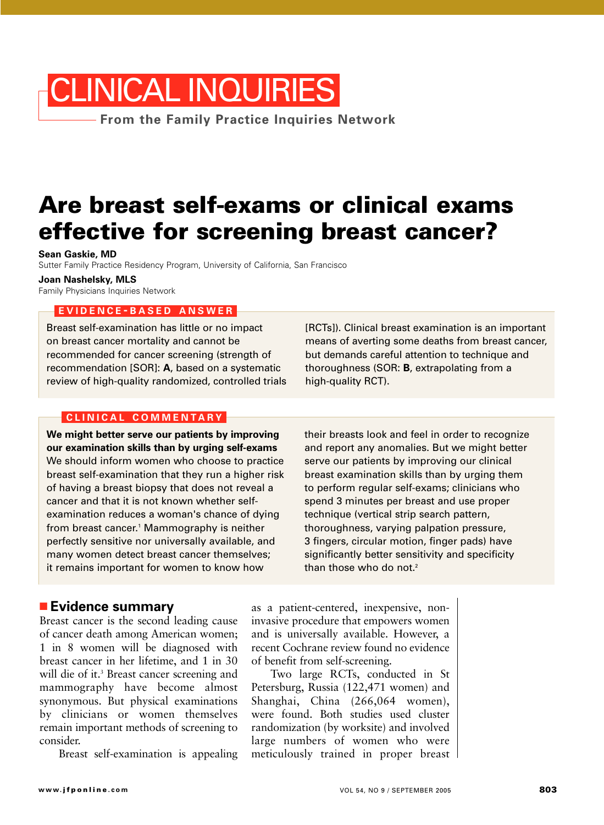# CLINICAL INQUIRIES

**From the Family Practice Inquiries Network**

# **Are breast self-exams or clinical exams effective for screening breast cancer?**

**Sean Gaskie, MD**

Sutter Family Practice Residency Program, University of California, San Francisco

**Joan Nashelsky, MLS**

Family Physicians Inquiries Network

### **EVIDENCE - BASED ANSWER**

Breast self-examination has little or no impact on breast cancer mortality and cannot be recommended for cancer screening (strength of recommendation [SOR]: **A**, based on a systematic review of high-quality randomized, controlled trials

#### **CLINICAL COMMENTARY**

**We might better serve our patients by improving our examination skills than by urging self-exams** We should inform women who choose to practice breast self-examination that they run a higher risk of having a breast biopsy that does not reveal a cancer and that it is not known whether selfexamination reduces a woman's chance of dying from breast cancer.<sup>1</sup> Mammography is neither perfectly sensitive nor universally available, and many women detect breast cancer themselves; it remains important for women to know how

## ■ **Evidence summary**

Breast cancer is the second leading cause of cancer death among American women; 1 in 8 women will be diagnosed with breast cancer in her lifetime, and 1 in 30 will die of it.<sup>3</sup> Breast cancer screening and mammography have become almost synonymous. But physical examinations by clinicians or women themselves remain important methods of screening to consider.

Breast self-examination is appealing

[RCTs]). Clinical breast examination is an important means of averting some deaths from breast cancer, but demands careful attention to technique and thoroughness (SOR: **B**, extrapolating from a high-quality RCT).

their breasts look and feel in order to recognize and report any anomalies. But we might better serve our patients by improving our clinical breast examination skills than by urging them to perform regular self-exams; clinicians who spend 3 minutes per breast and use proper technique (vertical strip search pattern, thoroughness, varying palpation pressure, 3 fingers, circular motion, finger pads) have significantly better sensitivity and specificity than those who do not.<sup>2</sup>

as a patient-centered, inexpensive, noninvasive procedure that empowers women and is universally available. However, a recent Cochrane review found no evidence of benefit from self-screening.

Two large RCTs, conducted in St Petersburg, Russia (122,471 women) and Shanghai, China (266,064 women), were found. Both studies used cluster randomization (by worksite) and involved large numbers of women who were meticulously trained in proper breast